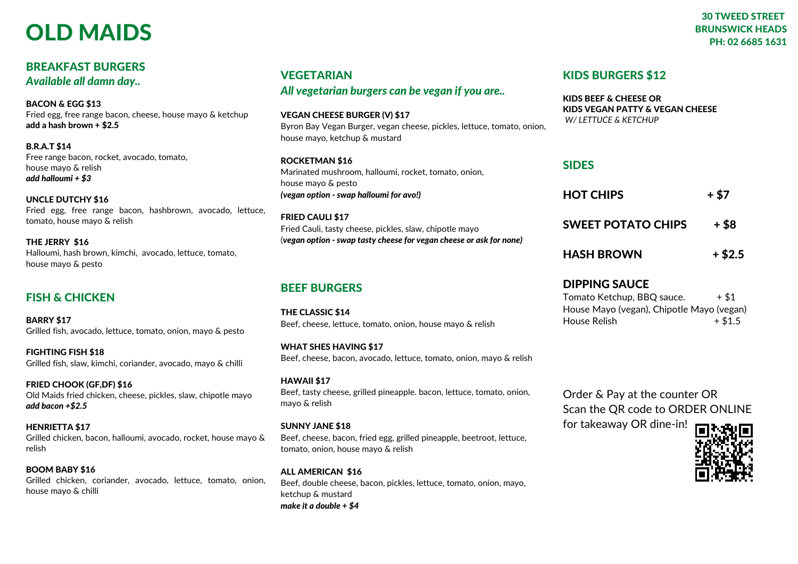# OLD MAIDS

### BREAKFAST BURGERS *Available all damn day..*

BACON & EGG \$13 Fried egg, free range bacon, cheese, house mayo & ketchup add a hash brown + \$2.5

B.R.A.T \$14 Free range bacon, rocket, avocado, tomato, house mayo & relish *add halloumi + \$3*

UNCLE DUTCHY \$16 Fried egg, free range bacon, hashbrown, avocado, lettuce, tomato, house mayo & relish

THE JERRY \$16 Halloumi, hash brown, kimchi, avocado, lettuce, tomato, house mayo & pesto

## FISH & CHICKEN

BARRY \$17 Grilled fish, avocado, lettuce, tomato, onion, mayo & pesto

FIGHTING FISH \$18 Grilled fish, slaw, kimchi, coriander, avocado, mayo & chilli

FRIED CHOOK (GF,DF) \$16 Old Maids fried chicken, cheese, pickles, slaw, chipotle mayo *add bacon +\$2.5*

HENRIETTA \$17 Grilled chicken, bacon, halloumi, avocado, rocket, house mayo & relish

BOOM BABY \$16 Grilled chicken, coriander, avocado, lettuce, tomato, onion, house mayo & chilli

# **VEGETARIAN**

*All vegetarian burgers can be vegan if you are..*

VEGAN CHEESE BURGER (V) \$17

Byron Bay Vegan Burger, vegan cheese, pickles, lettuce, tomato, onion, house mayo, ketchup & mustard

#### ROCKETMAN \$16

Marinated mushroom, halloumi, rocket, tomato, onion, house mayo & pesto *(vegan option - swap halloumi for avo!)*

#### FRIED CAULI \$17 Fried Cauli, tasty cheese, pickles, slaw, chipotle mayo (*vegan option - swap tasty cheese for vegan cheese or ask for none)*

## BEEF BURGERS

THE CLASSIC \$14 Beef, cheese, lettuce, tomato, onion, house mayo & relish

WHAT SHES HAVING \$17 Beef, cheese, bacon, avocado, lettuce, tomato, onion, mayo & relish

HAWAII \$17 Beef, tasty cheese, grilled pineapple. bacon, lettuce, tomato, onion, mayo & relish

#### SUNNY JANE \$18

Beef, cheese, bacon, fried egg, grilled pineapple, beetroot, lettuce, tomato, onion, house mayo & relish

ALL AMERICAN \$16 Beef, double cheese, bacon, pickles, lettuce, tomato, onion, mayo, ketchup & mustard *make it a double + \$4*

## KIDS BURGERS \$12

KIDS BEEF & CHEESE OR KIDS VEGAN PATTY & VEGAN CHEESE *W/ LETTUCE & KETCHUP*

## SIDES

| <b>HOT CHIPS</b>          | + \$7     |
|---------------------------|-----------|
| <b>SWEET POTATO CHIPS</b> | + \$8     |
| <b>HASH BROWN</b>         | $+$ \$2.5 |

### DIPPING SAUCE

Tomato Ketchup, BBQ sauce.  $+ $1$ House Mayo (vegan), Chipotle Mayo (vegan) House Relish  $+ $1.5$ 

Order & Pay at the counter OR Scan the QR code to ORDER ONLINE

for takeaway OR dine-in!